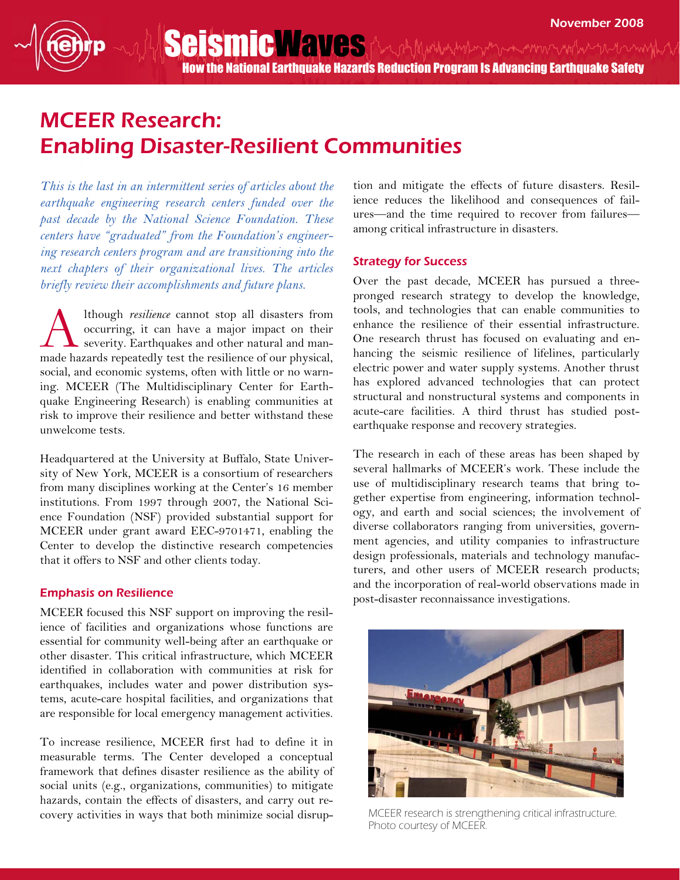How the National Earthquake Hazards Reduction Program Is Advancing Earthquake Safety

SeismicWaves And Municipal membership and the myles

# MCEER Research: Enabling Disaster-Resilient Communities

This is the last in an intermittent series of articles about the earthquake engineering research centers funded over the past decade by the National Science Foundation. These centers have "graduated" from the Foundation's engineering research centers program and are transitioning into the next chapters of their organizational lives. The articles briefly review their accomplishments and future plans.

lthough resilience cannot stop all disasters from occurring, it can have a major impact on their severity. Earthquakes and other natural and manmade hazards repeatedly test the resilience of our physical, social, and economic systems, often with little or no warning. MCEER (The Multidisciplinary Center for Earthquake Engineering Research) is enabling communities at risk to improve their resilience and better withstand these unwelcome tests. A

Headquartered at the University at Buffalo, State University of New York, MCEER is a consortium of researchers from many disciplines working at the Center's 16 member institutions. From 1997 through 2007, the National Science Foundation (NSF) provided substantial support for MCEER under grant award EEC-9701471, enabling the Center to develop the distinctive research competencies that it offers to NSF and other clients today.

### Emphasis on Resilience

MCEER focused this NSF support on improving the resilience of facilities and organizations whose functions are essential for community well-being after an earthquake or other disaster. This critical infrastructure, which MCEER identified in collaboration with communities at risk for earthquakes, includes water and power distribution systems, acute-care hospital facilities, and organizations that are responsible for local emergency management activities.

To increase resilience, MCEER first had to define it in measurable terms. The Center developed a conceptual framework that defines disaster resilience as the ability of social units (e.g., organizations, communities) to mitigate hazards, contain the effects of disasters, and carry out recovery activities in ways that both minimize social disruption and mitigate the effects of future disasters. Resilience reduces the likelihood and consequences of failures—and the time required to recover from failures among critical infrastructure in disasters.

#### Strategy for Success

Over the past decade, MCEER has pursued a threepronged research strategy to develop the knowledge, tools, and technologies that can enable communities to enhance the resilience of their essential infrastructure. One research thrust has focused on evaluating and enhancing the seismic resilience of lifelines, particularly electric power and water supply systems. Another thrust has explored advanced technologies that can protect structural and nonstructural systems and components in acute-care facilities. A third thrust has studied postearthquake response and recovery strategies.

The research in each of these areas has been shaped by several hallmarks of MCEER's work. These include the use of multidisciplinary research teams that bring together expertise from engineering, information technology, and earth and social sciences; the involvement of diverse collaborators ranging from universities, government agencies, and utility companies to infrastructure design professionals, materials and technology manufacturers, and other users of MCEER research products; and the incorporation of real-world observations made in post-disaster reconnaissance investigations.



MCEER research is strengthening critical infrastructure. Photo courtesy of MCEER.